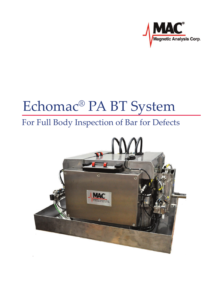

# Echomac® PA BT System

## For Full Body Inspection of Bar for Defects